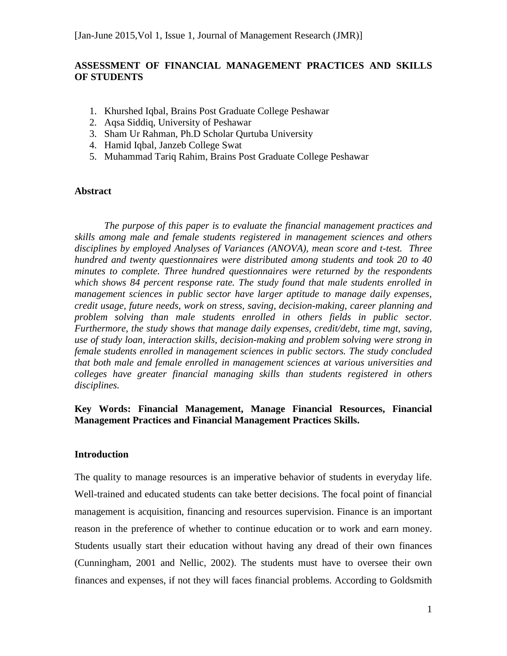# **ASSESSMENT OF FINANCIAL MANAGEMENT PRACTICES AND SKILLS OF STUDENTS**

- 1. Khurshed Iqbal, Brains Post Graduate College Peshawar
- 2. Aqsa Siddiq, University of Peshawar
- 3. Sham Ur Rahman, Ph.D Scholar Qurtuba University
- 4. Hamid Iqbal, Janzeb College Swat
- 5. Muhammad Tariq Rahim, Brains Post Graduate College Peshawar

### **Abstract**

*The purpose of this paper is to evaluate the financial management practices and skills among male and female students registered in management sciences and others disciplines by employed Analyses of Variances (ANOVA), mean score and t-test. Three hundred and twenty questionnaires were distributed among students and took 20 to 40 minutes to complete. Three hundred questionnaires were returned by the respondents which shows 84 percent response rate. The study found that male students enrolled in management sciences in public sector have larger aptitude to manage daily expenses, credit usage, future needs, work on stress, saving, decision-making, career planning and problem solving than male students enrolled in others fields in public sector. Furthermore, the study shows that manage daily expenses, credit/debt, time mgt, saving, use of study loan, interaction skills, decision-making and problem solving were strong in female students enrolled in management sciences in public sectors. The study concluded that both male and female enrolled in management sciences at various universities and colleges have greater financial managing skills than students registered in others disciplines.*

# **Key Words: Financial Management, Manage Financial Resources, Financial Management Practices and Financial Management Practices Skills.**

### **Introduction**

The quality to manage resources is an imperative behavior of students in everyday life. Well-trained and educated students can take better decisions. The focal point of financial management is acquisition, financing and resources supervision. Finance is an important reason in the preference of whether to continue education or to work and earn money. Students usually start their education without having any dread of their own finances (Cunningham, 2001 and Nellic, 2002). The students must have to oversee their own finances and expenses, if not they will faces financial problems. According to Goldsmith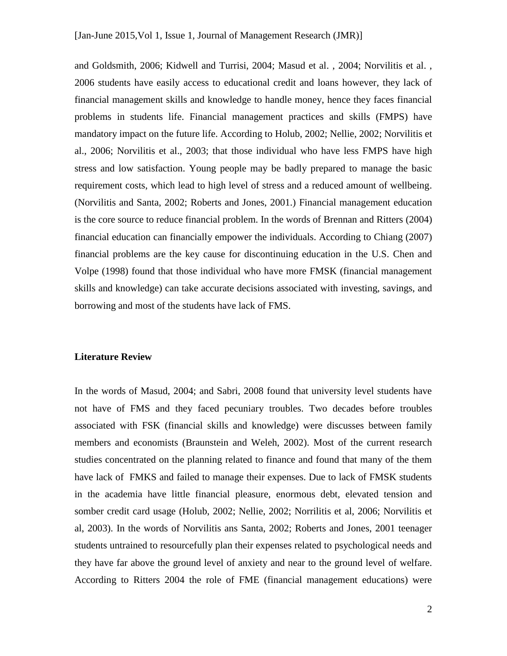and Goldsmith, 2006; Kidwell and Turrisi, 2004; Masud et al. , 2004; Norvilitis et al. , 2006 students have easily access to educational credit and loans however, they lack of financial management skills and knowledge to handle money, hence they faces financial problems in students life. Financial management practices and skills (FMPS) have mandatory impact on the future life. According to Holub, 2002; Nellie, 2002; Norvilitis et al., 2006; Norvilitis et al., 2003; that those individual who have less FMPS have high stress and low satisfaction. Young people may be badly prepared to manage the basic requirement costs, which lead to high level of stress and a reduced amount of wellbeing. (Norvilitis and Santa, 2002; Roberts and Jones, 2001.) Financial management education is the core source to reduce financial problem. In the words of Brennan and Ritters (2004) financial education can financially empower the individuals. According to Chiang (2007) financial problems are the key cause for discontinuing education in the U.S. Chen and Volpe (1998) found that those individual who have more FMSK (financial management skills and knowledge) can take accurate decisions associated with investing, savings, and borrowing and most of the students have lack of FMS.

#### **Literature Review**

In the words of Masud, 2004; and Sabri, 2008 found that university level students have not have of FMS and they faced pecuniary troubles. Two decades before troubles associated with FSK (financial skills and knowledge) were discusses between family members and economists (Braunstein and Weleh, 2002). Most of the current research studies concentrated on the planning related to finance and found that many of the them have lack of FMKS and failed to manage their expenses. Due to lack of FMSK students in the academia have little financial pleasure, enormous debt, elevated tension and somber credit card usage (Holub, 2002; Nellie, 2002; Norrilitis et al, 2006; Norvilitis et al, 2003). In the words of Norvilitis ans Santa, 2002; Roberts and Jones, 2001 teenager students untrained to resourcefully plan their expenses related to psychological needs and they have far above the ground level of anxiety and near to the ground level of welfare. According to Ritters 2004 the role of FME (financial management educations) were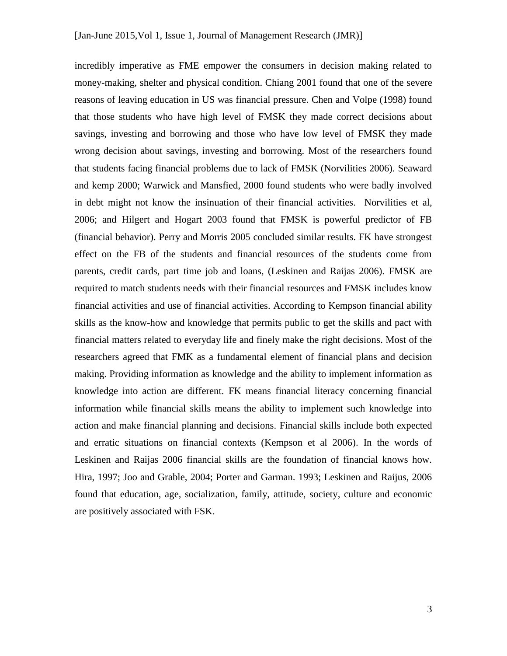incredibly imperative as FME empower the consumers in decision making related to money-making, shelter and physical condition. Chiang 2001 found that one of the severe reasons of leaving education in US was financial pressure. Chen and Volpe (1998) found that those students who have high level of FMSK they made correct decisions about savings, investing and borrowing and those who have low level of FMSK they made wrong decision about savings, investing and borrowing. Most of the researchers found that students facing financial problems due to lack of FMSK (Norvilities 2006). Seaward and kemp 2000; Warwick and Mansfied, 2000 found students who were badly involved in debt might not know the insinuation of their financial activities. Norvilities et al, 2006; and Hilgert and Hogart 2003 found that FMSK is powerful predictor of FB (financial behavior). Perry and Morris 2005 concluded similar results. FK have strongest effect on the FB of the students and financial resources of the students come from parents, credit cards, part time job and loans, (Leskinen and Raijas 2006). FMSK are required to match students needs with their financial resources and FMSK includes know financial activities and use of financial activities. According to Kempson financial ability skills as the know-how and knowledge that permits public to get the skills and pact with financial matters related to everyday life and finely make the right decisions. Most of the researchers agreed that FMK as a fundamental element of financial plans and decision making. Providing information as knowledge and the ability to implement information as knowledge into action are different. FK means financial literacy concerning financial information while financial skills means the ability to implement such knowledge into action and make financial planning and decisions. Financial skills include both expected and erratic situations on financial contexts (Kempson et al 2006). In the words of Leskinen and Raijas 2006 financial skills are the foundation of financial knows how. Hira, 1997; Joo and Grable, 2004; Porter and Garman. 1993; Leskinen and Raijus, 2006 found that education, age, socialization, family, attitude, society, culture and economic are positively associated with FSK.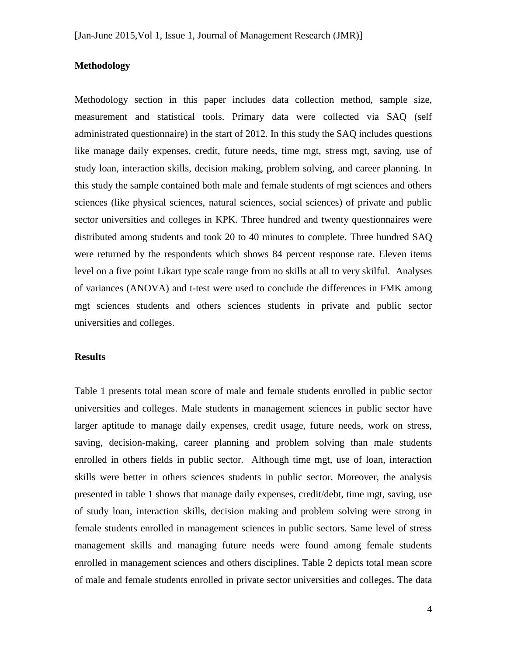### **Methodology**

Methodology section in this paper includes data collection method, sample size, measurement and statistical tools. Primary data were collected via SAQ (self administrated questionnaire) in the start of 2012. In this study the SAQ includes questions like manage daily expenses, credit, future needs, time mgt, stress mgt, saving, use of study loan, interaction skills, decision making, problem solving, and career planning. In this study the sample contained both male and female students of mgt sciences and others sciences (like physical sciences, natural sciences, social sciences) of private and public sector universities and colleges in KPK. Three hundred and twenty questionnaires were distributed among students and took 20 to 40 minutes to complete. Three hundred SAQ were returned by the respondents which shows 84 percent response rate. Eleven items level on a five point Likart type scale range from no skills at all to very skilful. Analyses of variances (ANOVA) and t-test were used to conclude the differences in FMK among mgt sciences students and others sciences students in private and public sector universities and colleges.

#### **Results**

Table 1 presents total mean score of male and female students enrolled in public sector universities and colleges. Male students in management sciences in public sector have larger aptitude to manage daily expenses, credit usage, future needs, work on stress, saving, decision-making, career planning and problem solving than male students enrolled in others fields in public sector. Although time mgt, use of loan, interaction skills were better in others sciences students in public sector. Moreover, the analysis presented in table 1 shows that manage daily expenses, credit/debt, time mgt, saving, use of study loan, interaction skills, decision making and problem solving were strong in female students enrolled in management sciences in public sectors. Same level of stress management skills and managing future needs were found among female students enrolled in management sciences and others disciplines. Table 2 depicts total mean score of male and female students enrolled in private sector universities and colleges. The data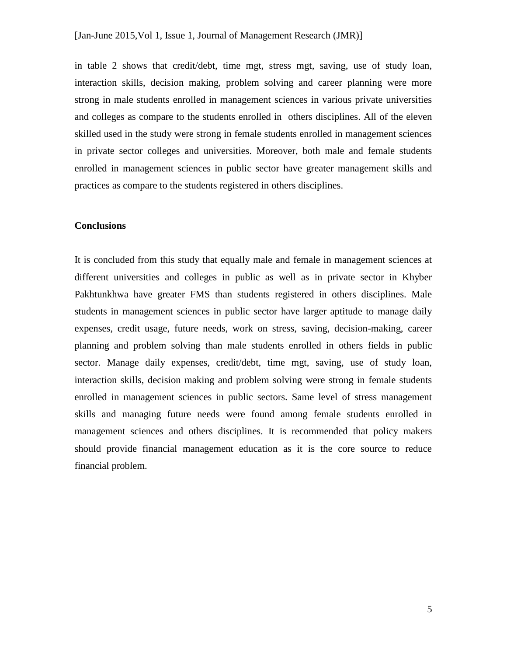in table 2 shows that credit/debt, time mgt, stress mgt, saving, use of study loan, interaction skills, decision making, problem solving and career planning were more strong in male students enrolled in management sciences in various private universities and colleges as compare to the students enrolled in others disciplines. All of the eleven skilled used in the study were strong in female students enrolled in management sciences in private sector colleges and universities. Moreover, both male and female students enrolled in management sciences in public sector have greater management skills and practices as compare to the students registered in others disciplines.

### **Conclusions**

It is concluded from this study that equally male and female in management sciences at different universities and colleges in public as well as in private sector in Khyber Pakhtunkhwa have greater FMS than students registered in others disciplines. Male students in management sciences in public sector have larger aptitude to manage daily expenses, credit usage, future needs, work on stress, saving, decision-making, career planning and problem solving than male students enrolled in others fields in public sector. Manage daily expenses, credit/debt, time mgt, saving, use of study loan, interaction skills, decision making and problem solving were strong in female students enrolled in management sciences in public sectors. Same level of stress management skills and managing future needs were found among female students enrolled in management sciences and others disciplines. It is recommended that policy makers should provide financial management education as it is the core source to reduce financial problem.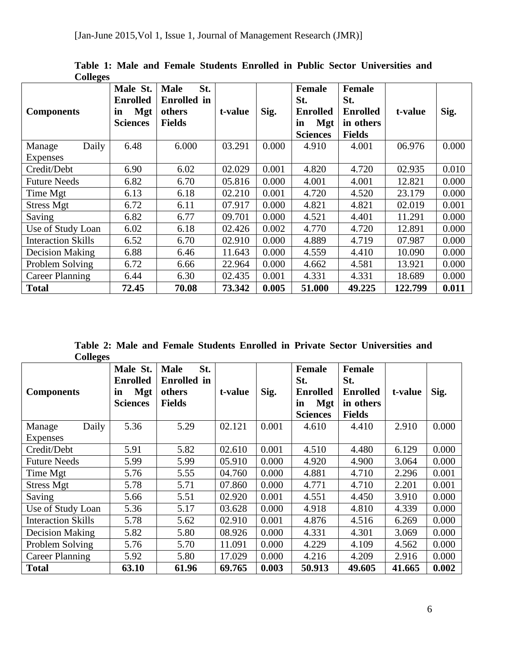| $\mathbf{\tilde{c}}$<br><b>Components</b> | Male St.<br><b>Enrolled</b><br><b>Mgt</b><br>in<br><b>Sciences</b> | <b>Male</b><br>St.<br><b>Enrolled</b> in<br>others<br><b>Fields</b> | t-value | Sig.  | <b>Female</b><br>St.<br><b>Enrolled</b><br><b>Mgt</b><br>in<br><b>Sciences</b> | <b>Female</b><br>St.<br><b>Enrolled</b><br>in others<br><b>Fields</b> | t-value | Sig.  |
|-------------------------------------------|--------------------------------------------------------------------|---------------------------------------------------------------------|---------|-------|--------------------------------------------------------------------------------|-----------------------------------------------------------------------|---------|-------|
| Daily<br>Manage                           | 6.48                                                               | 6.000                                                               | 03.291  | 0.000 | 4.910                                                                          | 4.001                                                                 | 06.976  | 0.000 |
| <b>Expenses</b>                           |                                                                    |                                                                     |         |       |                                                                                |                                                                       |         |       |
| Credit/Debt                               | 6.90                                                               | 6.02                                                                | 02.029  | 0.001 | 4.820                                                                          | 4.720                                                                 | 02.935  | 0.010 |
| <b>Future Needs</b>                       | 6.82                                                               | 6.70                                                                | 05.816  | 0.000 | 4.001                                                                          | 4.001                                                                 | 12.821  | 0.000 |
| Time Mgt                                  | 6.13                                                               | 6.18                                                                | 02.210  | 0.001 | 4.720                                                                          | 4.520                                                                 | 23.179  | 0.000 |
| <b>Stress Mgt</b>                         | 6.72                                                               | 6.11                                                                | 07.917  | 0.000 | 4.821                                                                          | 4.821                                                                 | 02.019  | 0.001 |
| Saving                                    | 6.82                                                               | 6.77                                                                | 09.701  | 0.000 | 4.521                                                                          | 4.401                                                                 | 11.291  | 0.000 |
| Use of Study Loan                         | 6.02                                                               | 6.18                                                                | 02.426  | 0.002 | 4.770                                                                          | 4.720                                                                 | 12.891  | 0.000 |
| <b>Interaction Skills</b>                 | 6.52                                                               | 6.70                                                                | 02.910  | 0.000 | 4.889                                                                          | 4.719                                                                 | 07.987  | 0.000 |
| Decision Making                           | 6.88                                                               | 6.46                                                                | 11.643  | 0.000 | 4.559                                                                          | 4.410                                                                 | 10.090  | 0.000 |
| Problem Solving                           | 6.72                                                               | 6.66                                                                | 22.964  | 0.000 | 4.662                                                                          | 4.581                                                                 | 13.921  | 0.000 |
| Career Planning                           | 6.44                                                               | 6.30                                                                | 02.435  | 0.001 | 4.331                                                                          | 4.331                                                                 | 18.689  | 0.000 |
| <b>Total</b>                              | 72.45                                                              | 70.08                                                               | 73.342  | 0.005 | 51.000                                                                         | 49.225                                                                | 122.799 | 0.011 |

**Table 1: Male and Female Students Enrolled in Public Sector Universities and Colleges** 

**Table 2: Male and Female Students Enrolled in Private Sector Universities and Colleges** 

| <b>Components</b>         | Male St.<br><b>Enrolled</b><br><b>Mgt</b><br>in<br><b>Sciences</b> | St.<br><b>Male</b><br><b>Enrolled</b> in<br>others<br><b>Fields</b> | t-value | Sig.  | Female<br>St.<br><b>Enrolled</b><br><b>Mgt</b><br>in<br><b>Sciences</b> | <b>Female</b><br>St.<br><b>Enrolled</b><br>in others<br><b>Fields</b> | t-value | Sig.  |
|---------------------------|--------------------------------------------------------------------|---------------------------------------------------------------------|---------|-------|-------------------------------------------------------------------------|-----------------------------------------------------------------------|---------|-------|
| Daily<br>Manage           | 5.36                                                               | 5.29                                                                | 02.121  | 0.001 | 4.610                                                                   | 4.410                                                                 | 2.910   | 0.000 |
| <b>Expenses</b>           |                                                                    |                                                                     |         |       |                                                                         |                                                                       |         |       |
| Credit/Debt               | 5.91                                                               | 5.82                                                                | 02.610  | 0.001 | 4.510                                                                   | 4.480                                                                 | 6.129   | 0.000 |
| <b>Future Needs</b>       | 5.99                                                               | 5.99                                                                | 05.910  | 0.000 | 4.920                                                                   | 4.900                                                                 | 3.064   | 0.000 |
| Time Mgt                  | 5.76                                                               | 5.55                                                                | 04.760  | 0.000 | 4.881                                                                   | 4.710                                                                 | 2.296   | 0.001 |
| <b>Stress Mgt</b>         | 5.78                                                               | 5.71                                                                | 07.860  | 0.000 | 4.771                                                                   | 4.710                                                                 | 2.201   | 0.001 |
| Saving                    | 5.66                                                               | 5.51                                                                | 02.920  | 0.001 | 4.551                                                                   | 4.450                                                                 | 3.910   | 0.000 |
| Use of Study Loan         | 5.36                                                               | 5.17                                                                | 03.628  | 0.000 | 4.918                                                                   | 4.810                                                                 | 4.339   | 0.000 |
| <b>Interaction Skills</b> | 5.78                                                               | 5.62                                                                | 02.910  | 0.001 | 4.876                                                                   | 4.516                                                                 | 6.269   | 0.000 |
| Decision Making           | 5.82                                                               | 5.80                                                                | 08.926  | 0.000 | 4.331                                                                   | 4.301                                                                 | 3.069   | 0.000 |
| Problem Solving           | 5.76                                                               | 5.70                                                                | 11.091  | 0.000 | 4.229                                                                   | 4.109                                                                 | 4.562   | 0.000 |
| Career Planning           | 5.92                                                               | 5.80                                                                | 17.029  | 0.000 | 4.216                                                                   | 4.209                                                                 | 2.916   | 0.000 |
| <b>Total</b>              | 63.10                                                              | 61.96                                                               | 69.765  | 0.003 | 50.913                                                                  | 49.605                                                                | 41.665  | 0.002 |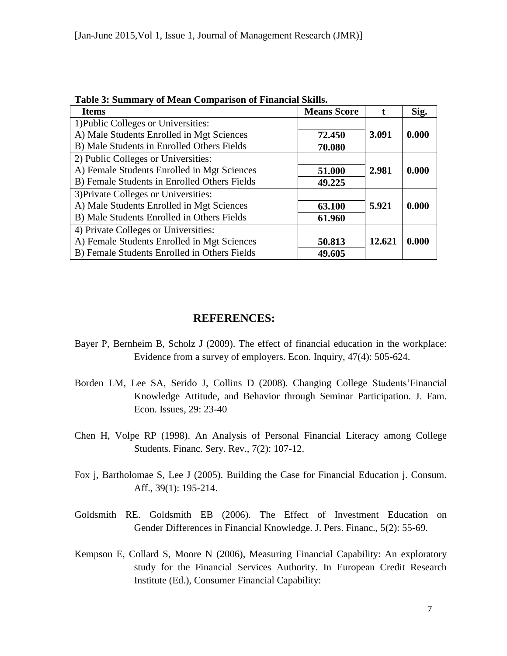| <u>rabit 9: Dunmar y or bitan Comparison or r'hiantial Divins.</u> |                    |        |       |  |  |  |  |
|--------------------------------------------------------------------|--------------------|--------|-------|--|--|--|--|
| <b>Items</b>                                                       | <b>Means Score</b> |        | Sig.  |  |  |  |  |
| 1) Public Colleges or Universities:                                |                    |        |       |  |  |  |  |
| A) Male Students Enrolled in Mgt Sciences                          | 72.450             | 3.091  | 0.000 |  |  |  |  |
| B) Male Students in Enrolled Others Fields                         | 70.080             |        |       |  |  |  |  |
| 2) Public Colleges or Universities:                                |                    |        |       |  |  |  |  |
| A) Female Students Enrolled in Mgt Sciences                        | 51.000             | 2.981  | 0.000 |  |  |  |  |
| B) Female Students in Enrolled Others Fields                       | 49.225             |        |       |  |  |  |  |
| 3) Private Colleges or Universities:                               |                    |        |       |  |  |  |  |
| A) Male Students Enrolled in Mgt Sciences                          | 63.100             | 5.921  | 0.000 |  |  |  |  |
| B) Male Students Enrolled in Others Fields                         | 61.960             |        |       |  |  |  |  |
| 4) Private Colleges or Universities:                               |                    |        |       |  |  |  |  |
| A) Female Students Enrolled in Mgt Sciences                        | 50.813             | 12.621 | 0.000 |  |  |  |  |
| B) Female Students Enrolled in Others Fields                       | 49.605             |        |       |  |  |  |  |

**Table 3: Summary of Mean Comparison of Financial Skills.** 

# **REFERENCES:**

- Bayer P, Bernheim B, Scholz J (2009). The effect of financial education in the workplace: Evidence from a survey of employers. Econ. Inquiry, 47(4): 505-624.
- Borden LM, Lee SA, Serido J, Collins D (2008). Changing College Students'Financial Knowledge Attitude, and Behavior through Seminar Participation. J. Fam. Econ. Issues, 29: 23-40
- Chen H, Volpe RP (1998). An Analysis of Personal Financial Literacy among College Students. Financ. Sery. Rev., 7(2): 107-12.
- Fox j, Bartholomae S, Lee J (2005). Building the Case for Financial Education j. Consum. Aff., 39(1): 195-214.
- Goldsmith RE. Goldsmith EB (2006). The Effect of Investment Education on Gender Differences in Financial Knowledge. J. Pers. Financ., 5(2): 55-69.
- Kempson E, Collard S, Moore N (2006), Measuring Financial Capability: An exploratory study for the Financial Services Authority. In European Credit Research Institute (Ed.), Consumer Financial Capability: